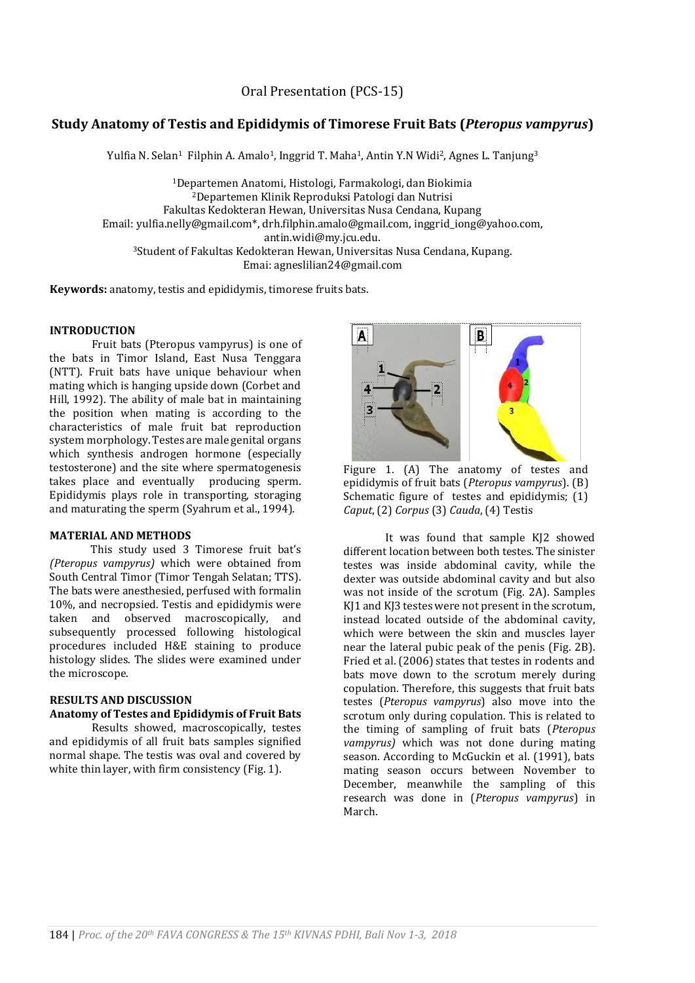Oral Presentation (PCS-15)

# **Study Anatomy of Testis and Epididymis of Timorese Fruit Bats (***Pteropus vampyrus***)**

Yulfia N. Selan<sup>1</sup> Filphin A. Amalo<sup>1</sup>, Inggrid T. Maha<sup>1</sup>, Antin Y.N Widi<sup>2</sup>, Agnes L. Tanjung<sup>3</sup>

<sup>1</sup>Departemen Anatomi, Histologi, Farmakologi, dan Biokimia <sup>2</sup>Departemen Klinik Reproduksi Patologi dan Nutrisi Fakultas Kedokteran Hewan, Universitas Nusa Cendana, Kupang Email: yulfia.nelly@gmail.com\*, drh.filphin.amalo@gmail.com, inggrid\_iong@yahoo.com, antin.widi@my.jcu.edu. <sup>3</sup>Student of Fakultas Kedokteran Hewan, Universitas Nusa Cendana, Kupang. Emai: agneslilian24@gmail.com

**Keywords:** anatomy, testis and epididymis, timorese fruits bats.

### **INTRODUCTION**

Fruit bats (Pteropus vampyrus) is one of the bats in Timor Island, East Nusa Tenggara (NTT). Fruit bats have unique behaviour when mating which is hanging upside down (Corbet and Hill, 1992). The ability of male bat in maintaining the position when mating is according to the characteristics of male fruit bat reproduction system morphology. Testes are male genital organs which synthesis androgen hormone (especially testosterone) and the site where spermatogenesis takes place and eventually producing sperm. Epididymis plays role in transporting, storaging and maturating the sperm (Syahrum et al., 1994).

#### **MATERIAL AND METHODS**

This study used 3 Timorese fruit bat's *(Pteropus vampyrus)* which were obtained from South Central Timor (Timor Tengah Selatan; TTS). The bats were anesthesied, perfused with formalin 10%, and necropsied. Testis and epididymis were taken and observed macroscopically, and subsequently processed following histological procedures included H&E staining to produce histology slides. The slides were examined under the microscope.

## **RESULTS AND DISCUSSION**

### **Anatomy of Testes and Epididymis of Fruit Bats**

Results showed, macroscopically, testes and epididymis of all fruit bats samples signified normal shape. The testis was oval and covered by white thin layer, with firm consistency (Fig. 1).





epididymis of fruit bats (*Pteropus vampyrus*). (B) Schematic figure of testes and epididymis; (1)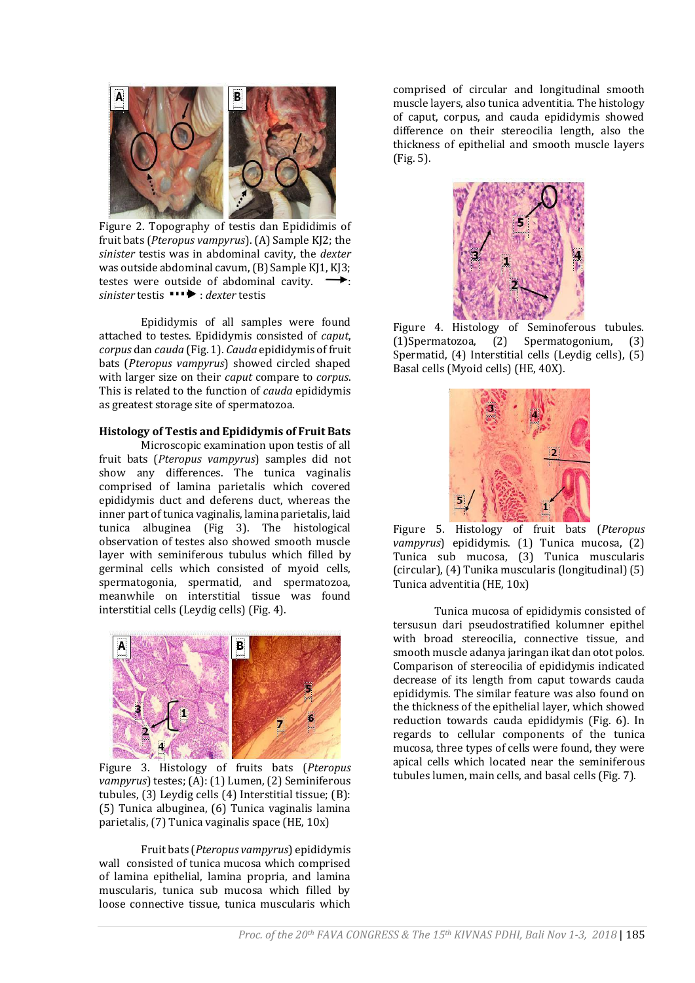

Figure 2. Topography of testis dan Epididimis of fruit bats (*Pteropus vampyrus*). (A) Sample KJ2; the *sinister* testis was in abdominal cavity, the *dexter* was outside abdominal cavum, (B) Sample KJ1, KJ3; testes were outside of abdominal cavity.  $\rightarrow$ : sinister testis  $\rightarrow$  *dexter* testis

Epididymis of all samples were found attached to testes. Epididymis consisted of *caput*, *corpus* dan *cauda* (Fig. 1). *Cauda* epididymis of fruit bats (*Pteropus vampyrus*) showed circled shaped with larger size on their *caput* compare to *corpus*. This is related to the function of *cauda* epididymis as greatest storage site of spermatozoa.

### **Histology of Testis and Epididymis of Fruit Bats**

Microscopic examination upon testis of all fruit bats (*Pteropus vampyrus*) samples did not show any differences. The tunica vaginalis comprised of lamina parietalis which covered epididymis duct and deferens duct, whereas the inner part of tunica vaginalis, lamina parietalis, laid tunica albuginea (Fig 3). The histological observation of testes also showed smooth muscle layer with seminiferous tubulus which filled by germinal cells which consisted of myoid cells, spermatogonia, spermatid, and spermatozoa, meanwhile on interstitial tissue was found interstitial cells (Leydig cells) (Fig. 4).



Figure 3. Histology of fruits bats (*Pteropus vampyrus*) testes; (A): (1) Lumen, (2) Seminiferous tubules, (3) Leydig cells (4) Interstitial tissue; (B): (5) Tunica albuginea, (6) Tunica vaginalis lamina parietalis, (7) Tunica vaginalis space (HE, 10x)

Fruit bats (*Pteropus vampyrus*) epididymis wall consisted of tunica mucosa which comprised of lamina epithelial, lamina propria, and lamina muscularis, tunica sub mucosa which filled by loose connective tissue, tunica muscularis which

comprised of circular and longitudinal smooth muscle layers, also tunica adventitia. The histology of caput, corpus, and cauda epididymis showed difference on their stereocilia length, also the thickness of epithelial and smooth muscle layers (Fig. 5).



Figure 4. Histology of Seminoferous tubules. (1)Spermatozoa, (2) Spermatogonium, (3) Spermatid, (4) Interstitial cells (Leydig cells), (5) Basal cells (Myoid cells) (HE, 40X).



Figure 5. Histology of fruit bats (*Pteropus vampyrus*) epididymis. (1) Tunica mucosa, (2) Tunica sub mucosa, (3) Tunica muscularis (circular), (4) Tunika muscularis (longitudinal) (5) Tunica adventitia (HE, 10x)

Tunica mucosa of epididymis consisted of tersusun dari pseudostratified kolumner epithel with broad stereocilia, connective tissue, and smooth muscle adanya jaringan ikat dan otot polos. Comparison of stereocilia of epididymis indicated decrease of its length from caput towards cauda epididymis. The similar feature was also found on the thickness of the epithelial layer, which showed reduction towards cauda epididymis (Fig. 6). In regards to cellular components of the tunica mucosa, three types of cells were found, they were apical cells which located near the seminiferous tubules lumen, main cells, and basal cells (Fig. 7).